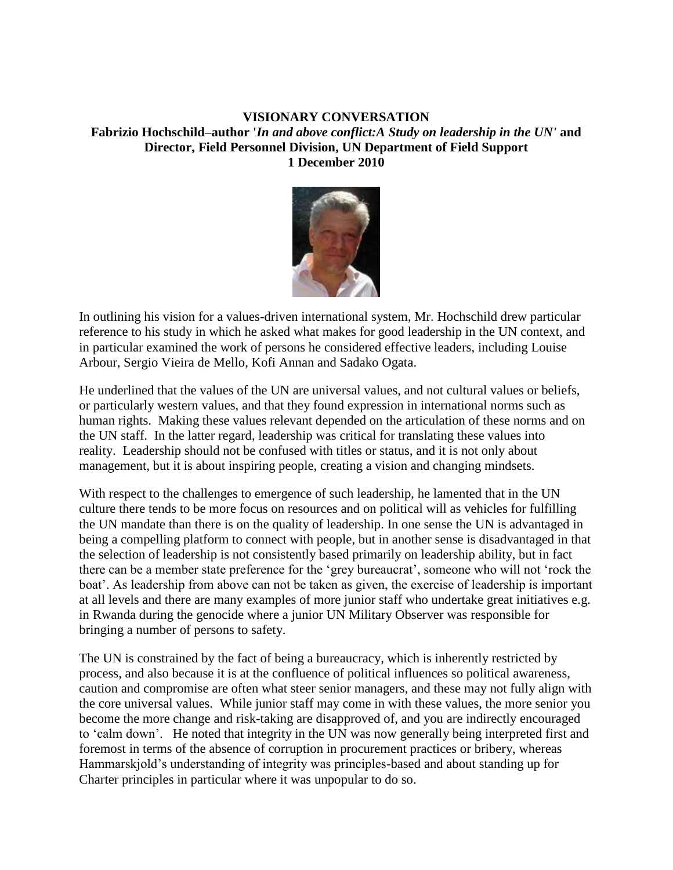## **VISIONARY CONVERSATION Fabrizio Hochschild–author '***In and above conflict:A Study on leadership in the UN'* **and Director, Field Personnel Division, UN Department of Field Support 1 December 2010**



In outlining his vision for a values-driven international system, Mr. Hochschild drew particular reference to his study in which he asked what makes for good leadership in the UN context, and in particular examined the work of persons he considered effective leaders, including Louise Arbour, Sergio Vieira de Mello, Kofi Annan and Sadako Ogata.

He underlined that the values of the UN are universal values, and not cultural values or beliefs, or particularly western values, and that they found expression in international norms such as human rights. Making these values relevant depended on the articulation of these norms and on the UN staff. In the latter regard, leadership was critical for translating these values into reality. Leadership should not be confused with titles or status, and it is not only about management, but it is about inspiring people, creating a vision and changing mindsets.

With respect to the challenges to emergence of such leadership, he lamented that in the UN culture there tends to be more focus on resources and on political will as vehicles for fulfilling the UN mandate than there is on the quality of leadership. In one sense the UN is advantaged in being a compelling platform to connect with people, but in another sense is disadvantaged in that the selection of leadership is not consistently based primarily on leadership ability, but in fact there can be a member state preference for the 'grey bureaucrat', someone who will not 'rock the boat'. As leadership from above can not be taken as given, the exercise of leadership is important at all levels and there are many examples of more junior staff who undertake great initiatives e.g. in Rwanda during the genocide where a junior UN Military Observer was responsible for bringing a number of persons to safety.

The UN is constrained by the fact of being a bureaucracy, which is inherently restricted by process, and also because it is at the confluence of political influences so political awareness, caution and compromise are often what steer senior managers, and these may not fully align with the core universal values. While junior staff may come in with these values, the more senior you become the more change and risk-taking are disapproved of, and you are indirectly encouraged to 'calm down'. He noted that integrity in the UN was now generally being interpreted first and foremost in terms of the absence of corruption in procurement practices or bribery, whereas Hammarskjold's understanding of integrity was principles-based and about standing up for Charter principles in particular where it was unpopular to do so.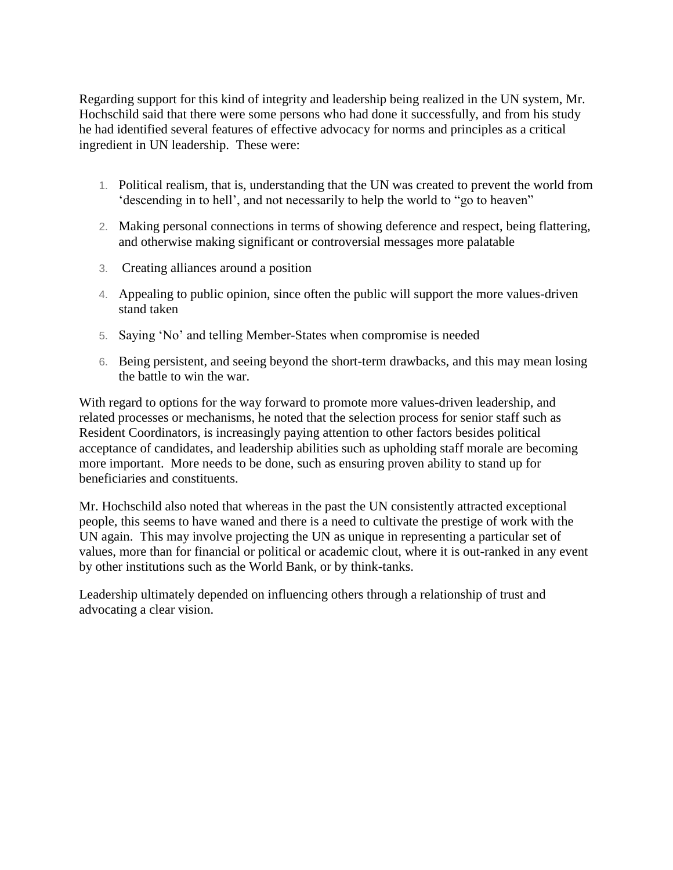Regarding support for this kind of integrity and leadership being realized in the UN system, Mr. Hochschild said that there were some persons who had done it successfully, and from his study he had identified several features of effective advocacy for norms and principles as a critical ingredient in UN leadership. These were:

- 1. Political realism, that is, understanding that the UN was created to prevent the world from 'descending in to hell', and not necessarily to help the world to "go to heaven"
- 2. Making personal connections in terms of showing deference and respect, being flattering, and otherwise making significant or controversial messages more palatable
- 3. Creating alliances around a position
- 4. Appealing to public opinion, since often the public will support the more values-driven stand taken
- 5. Saying 'No' and telling Member-States when compromise is needed
- 6. Being persistent, and seeing beyond the short-term drawbacks, and this may mean losing the battle to win the war.

With regard to options for the way forward to promote more values-driven leadership, and related processes or mechanisms, he noted that the selection process for senior staff such as Resident Coordinators, is increasingly paying attention to other factors besides political acceptance of candidates, and leadership abilities such as upholding staff morale are becoming more important. More needs to be done, such as ensuring proven ability to stand up for beneficiaries and constituents.

Mr. Hochschild also noted that whereas in the past the UN consistently attracted exceptional people, this seems to have waned and there is a need to cultivate the prestige of work with the UN again. This may involve projecting the UN as unique in representing a particular set of values, more than for financial or political or academic clout, where it is out-ranked in any event by other institutions such as the World Bank, or by think-tanks.

Leadership ultimately depended on influencing others through a relationship of trust and advocating a clear vision.